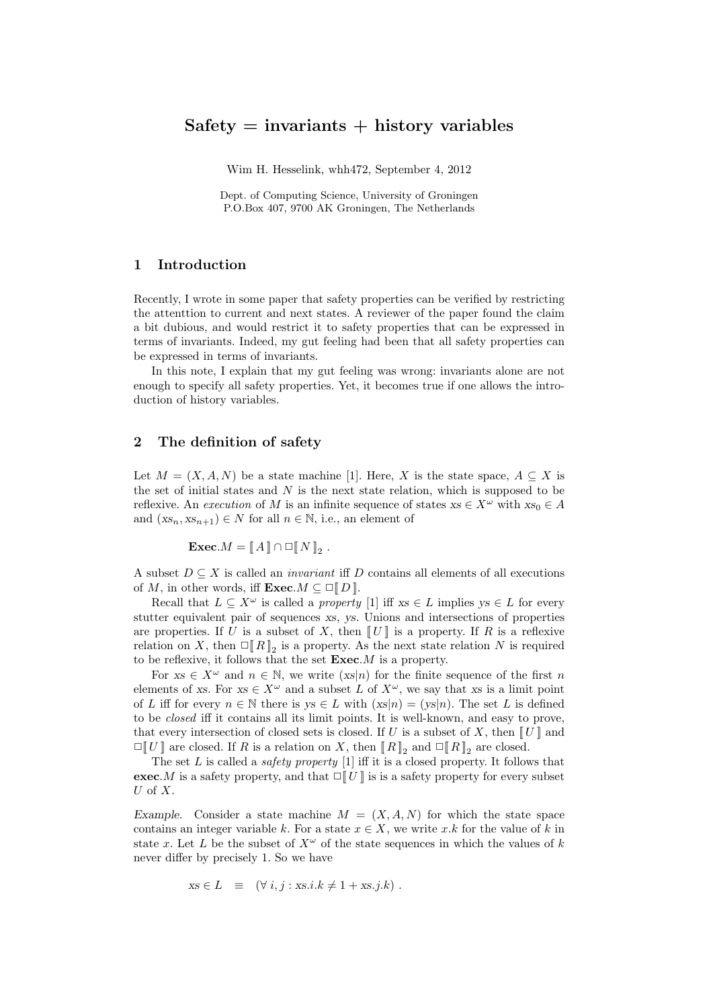# $Safety = invariants + history variables$

Wim H. Hesselink, whh472, September 4, 2012

Dept. of Computing Science, University of Groningen P.O.Box 407, 9700 AK Groningen, The Netherlands

### 1 Introduction

Recently, I wrote in some paper that safety properties can be verified by restricting the attenttion to current and next states. A reviewer of the paper found the claim a bit dubious, and would restrict it to safety properties that can be expressed in terms of invariants. Indeed, my gut feeling had been that all safety properties can be expressed in terms of invariants.

In this note, I explain that my gut feeling was wrong: invariants alone are not enough to specify all safety properties. Yet, it becomes true if one allows the introduction of history variables.

## 2 The definition of safety

Let  $M = (X, A, N)$  be a state machine [1]. Here, X is the state space,  $A \subseteq X$  is the set of initial states and  $N$  is the next state relation, which is supposed to be reflexive. An execution of M is an infinite sequence of states  $xs \in X^{\omega}$  with  $xs_0 \in A$ and  $(xs_n, xs_{n+1}) \in N$  for all  $n \in \mathbb{N}$ , i.e., an element of

$$
\textbf{Exec}.M = \llbracket A \rrbracket \cap \Box \llbracket N \rrbracket_2 .
$$

A subset  $D \subseteq X$  is called an *invariant* iff D contains all elements of all executions of M, in other words, iff  $\mathbf{Exec}.M \subseteq \Box \llbracket D \rrbracket$ .

Recall that  $L \subseteq X^{\omega}$  is called a *property* [1] iff  $xs \in L$  implies  $ys \in L$  for every stutter equivalent pair of sequences xs, ys. Unions and intersections of properties are properties. If U is a subset of X, then  $[[U]]$  is a property. If R is a reflexive relation on X, then  $\Box [R]_2$  is a property. As the next state relation N is required to be reflexive, it follows that the set  $\textbf{Exec}.M$  is a property.

For  $xs \in X^{\omega}$  and  $n \in \mathbb{N}$ , we write  $(xs|n)$  for the finite sequence of the first n elements of xs. For  $xs \in X^{\omega}$  and a subset L of  $X^{\omega}$ , we say that xs is a limit point of L iff for every  $n \in \mathbb{N}$  there is  $ys \in L$  with  $(xs|n) = (ys|n)$ . The set L is defined to be closed iff it contains all its limit points. It is well-known, and easy to prove, that every intersection of closed sets is closed. If U is a subset of X, then  $\llbracket U \rrbracket$  and  $\Box [U]$  are closed. If R is a relation on X, then  $[R]_2$  and  $\Box [R]_2$  are closed.

The set  $L$  is called a *safety property* [1] iff it is a closed property. It follows that **exec.**M is a safety property, and that  $\Box$  [U] is is a safety property for every subset U of  $X$ .

Example. Consider a state machine  $M = (X, A, N)$  for which the state space contains an integer variable k. For a state  $x \in X$ , we write x.k for the value of k in state x. Let L be the subset of  $X^{\omega}$  of the state sequences in which the values of k never differ by precisely 1. So we have

$$
xs \in L \equiv (\forall i, j : xs.i.k \neq 1 + xs.j.k) .
$$